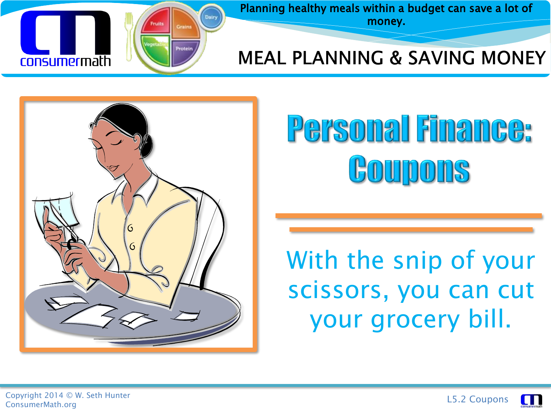

Planning healthy meals within a budget can save a lot of money.

#### **MEAL PLANNING & SAVING MONEY**



# Personal Finance: Goupons

#### With the snip of your scissors, you can cut your grocery bill.



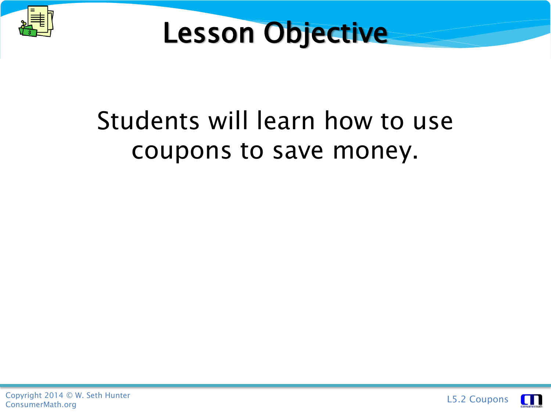



#### Students will learn how to use coupons to save money.



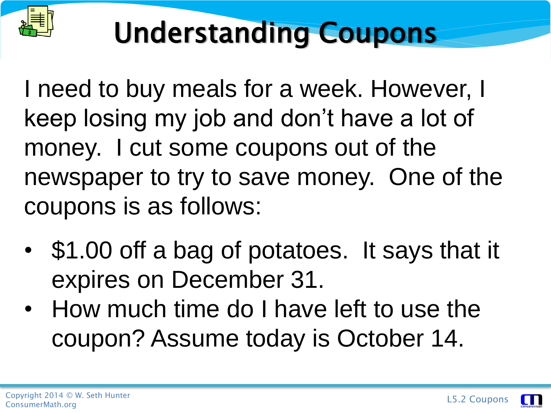

I need to buy meals for a week. However, I keep losing my job and don't have a lot of money. I cut some coupons out of the newspaper to try to save money. One of the coupons is as follows:

- \$1.00 off a bag of potatoes. It says that it expires on December 31.
- How much time do I have left to use the coupon? Assume today is October 14.

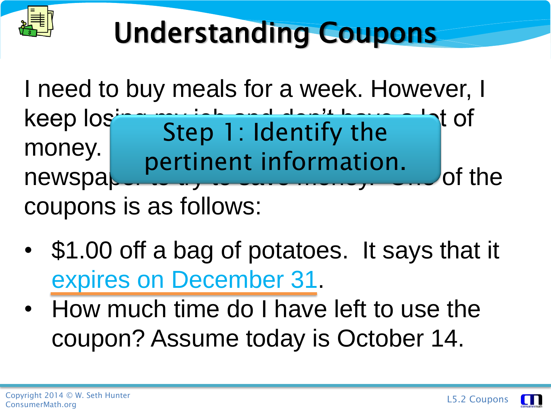

I need to buy meals for a week. However, I keep  $log$   $\frac{1}{2}$   $\frac{1}{2}$   $\frac{1}{2}$   $\frac{1}{2}$   $\frac{1}{2}$   $\frac{1}{2}$   $\frac{1}{2}$   $\frac{1}{2}$   $\frac{1}{2}$   $\frac{1}{2}$   $\frac{1}{2}$   $\frac{1}{2}$   $\frac{1}{2}$   $\frac{1}{2}$   $\frac{1}{2}$   $\frac{1}{2}$   $\frac{1}{2}$   $\frac{1}{2}$   $\frac{1}{2}$   $\frac{1}{2}$   $\frac{1}{2}$   $\$ money. Sup is nuch the coupons of the money. newspa coupons is as follows: Step 1: Identify the pertinent information.

- \$1.00 off a bag of potatoes. It says that it expires on December 31.
- How much time do I have left to use the coupon? Assume today is October 14.

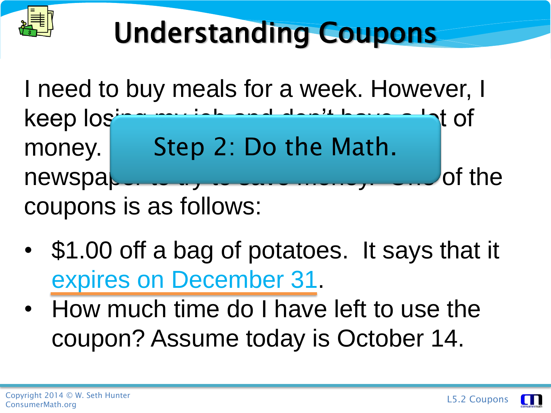

I need to buy meals for a week. However, I keep losing my job and don't have a lot of money. Step 2: Do the Math.  $newspa$ ,  $\ldots$  to  $t$  to save money.  $\ldots$  of the coupons is as follows:

- \$1.00 off a bag of potatoes. It says that it expires on December 31.
- How much time do I have left to use the coupon? Assume today is October 14.

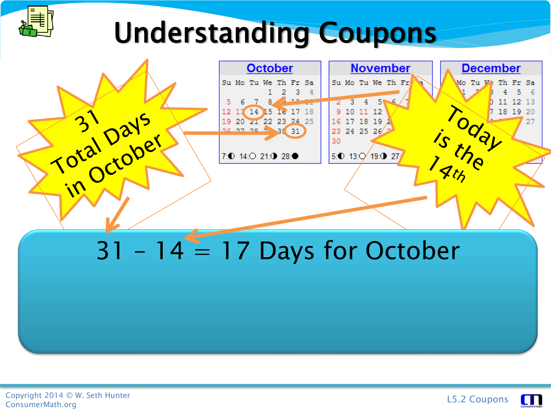

|              | <b>October</b>                               | <b>November</b>           | <b>December</b>               |
|--------------|----------------------------------------------|---------------------------|-------------------------------|
|              | Su Mo Tu We Th Fr Sa<br>2 3                  | Su Mo Tu We Th Fr         | Mo Tu W: Th Fr Sa<br>5.<br>-6 |
|              | $\sqrt{10}$                                  | 3<br>$4^{\circ}$          | 12 13<br>11                   |
| $\mathbf{R}$ | 12 13 14 15 16 17 18<br>19 20 zi 22 23 24 25 | 9 10 11 12<br>16 17 18 19 | 18 19 20<br>27                |
| Total Day er | 26 27 28 2 31 31                             | 23 24 25 26<br>30         |                               |
|              | 7:0 14:0 21:0 28:0                           | 5:0 13:Q 19:0 27          |                               |
|              |                                              |                           |                               |
|              |                                              |                           |                               |
|              |                                              |                           |                               |
|              |                                              |                           |                               |
|              |                                              |                           |                               |

#### $31 - 14 = 17$  Days for October

• Assume today is October 14.



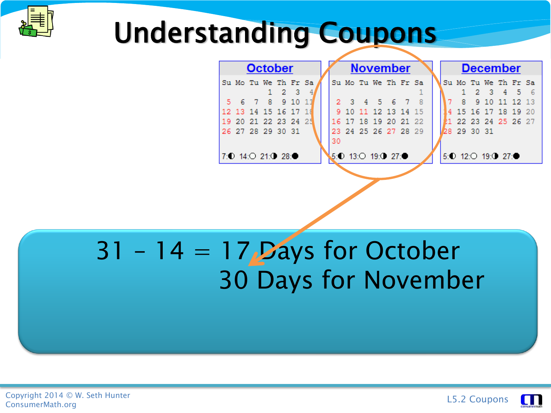

|  |  | <b>October</b>         |  |    |  | <b>November</b>      |  |  |                        | <b>December</b> |  |  |
|--|--|------------------------|--|----|--|----------------------|--|--|------------------------|-----------------|--|--|
|  |  | Su Mo Tu We Th Fr Sa   |  |    |  | Su Mo Tu We Th Fr Sa |  |  | Su Mo Tu We Th Fr Sa   |                 |  |  |
|  |  |                        |  |    |  |                      |  |  |                        | 1 2 3 4 5 6     |  |  |
|  |  | 6 7 8 9 10             |  |    |  | 3 4 5 6 7            |  |  |                        | 8 9 10 11 12 13 |  |  |
|  |  | 12 13 14 15 16 17 1    |  |    |  | 9 10 11 12 13 14 15  |  |  | 4 15 16 17 18 19 20    |                 |  |  |
|  |  | 19 20 21 22 23 24 25   |  |    |  | 16 17 18 19 20 21 22 |  |  | 1 22 23 24 25 26 27    |                 |  |  |
|  |  | 26 27 28 29 30 31      |  |    |  | 23 24 25 26 27 28 29 |  |  | 28 29 30 31            |                 |  |  |
|  |  |                        |  | 30 |  |                      |  |  |                        |                 |  |  |
|  |  | 7: 0 14: 0 21: 0 28: 0 |  |    |  | 5:0 13:0 19:0 27:0   |  |  | 5: 0 12: 0 19: 0 27: 0 |                 |  |  |
|  |  |                        |  |    |  |                      |  |  |                        |                 |  |  |

#### $31 - 14 = 17$  Days for October expires 30. Days for November 1986

• Assume today is October 14.



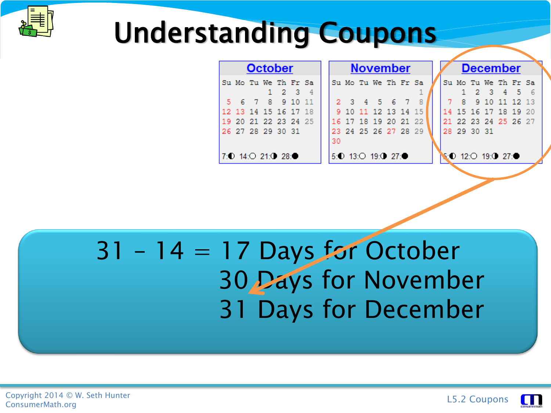

| <b>October</b><br><b>November</b> |                      |  |  |                   |  |  |  |    |  |                        | <b>December</b> |  |  |  |                                                      |  |  |  |  |
|-----------------------------------|----------------------|--|--|-------------------|--|--|--|----|--|------------------------|-----------------|--|--|--|------------------------------------------------------|--|--|--|--|
|                                   | Su Mo Tu We Th Fr Sa |  |  |                   |  |  |  |    |  | Su Mo Tu We Th Fr Sa   |                 |  |  |  | Su Mo Tu We Th Fr Sa                                 |  |  |  |  |
|                                   |                      |  |  | $1\quad 2\quad 3$ |  |  |  |    |  |                        |                 |  |  |  | 1 2 3 4 5 6                                          |  |  |  |  |
|                                   |                      |  |  | 6 7 8 9 10        |  |  |  |    |  | 2 3 4 5 6 7            |                 |  |  |  | 7 8 9 10 11 12 13                                    |  |  |  |  |
|                                   | 12 13 14 15 16 17 18 |  |  |                   |  |  |  |    |  | 9 10 11 12 13 14 15    |                 |  |  |  | 14 15 16 17 18 19 20                                 |  |  |  |  |
|                                   | 19 20 21 22 23 24 25 |  |  |                   |  |  |  |    |  | 16 17 18 19 20 21 22   |                 |  |  |  | 21 22 23 24 25 26 27                                 |  |  |  |  |
|                                   | 26 27 28 29 30 31    |  |  |                   |  |  |  |    |  | 23 24 25 26 27 28 29   |                 |  |  |  | 28 29 30 31                                          |  |  |  |  |
|                                   |                      |  |  |                   |  |  |  | 30 |  |                        |                 |  |  |  |                                                      |  |  |  |  |
|                                   | 7:0 14:0 21:0 28:0   |  |  |                   |  |  |  |    |  | 5: 0 13: 0 19: 0 27: 0 |                 |  |  |  | 6: $\bullet$ 12: $\circ$ 19: $\bullet$ 27: $\bullet$ |  |  |  |  |

#### $31 - 14 = 17$  Days for October expires 30 Days for November do I have left to use the coupon of the coupon of the coupon of the coupon of the coupon of the coupon of the coupon of the coupon of the coupon of the coupon of the coupon of the coupon of the coupon of the coupon of the

• Assume today is October 14.



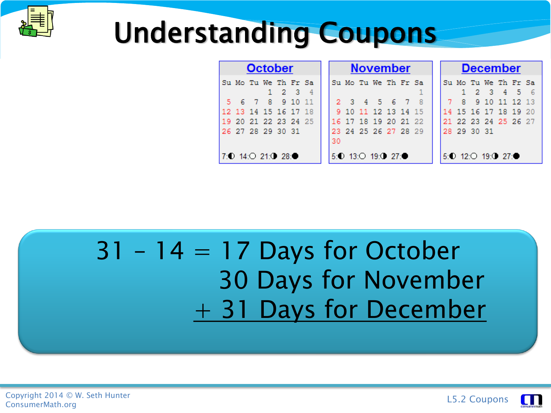

|                      |  | <b>October</b> |     |    | <b>November</b> |  |  |                        |  |  |  | <b>December</b> |                        |             |  |  |  |  |  |  |
|----------------------|--|----------------|-----|----|-----------------|--|--|------------------------|--|--|--|-----------------|------------------------|-------------|--|--|--|--|--|--|
| Su Mo Tu We Th Fr Sa |  | $1 \t2 \t3$    |     |    |                 |  |  | Su Mo Tu We Th Fr Sa   |  |  |  |                 | Su Mo Tu We Th Fr Sa   | 1 2 3 4 5 6 |  |  |  |  |  |  |
|                      |  | 6 7 8 9 10     | -11 |    |                 |  |  | 2 3 4 5 6 7            |  |  |  |                 | 7 8 9 10 11 12 13      |             |  |  |  |  |  |  |
| 12 13 14 15 16 17 18 |  |                |     |    |                 |  |  | 9 10 11 12 13 14 15    |  |  |  |                 | 14 15 16 17 18 19 20   |             |  |  |  |  |  |  |
| 19 20 21 22 23 24 25 |  |                |     |    |                 |  |  | 16 17 18 19 20 21 22   |  |  |  |                 | 21 22 23 24 25 26 27   |             |  |  |  |  |  |  |
| 26 27 28 29 30 31    |  |                |     | 30 |                 |  |  | 23 24 25 26 27 28 29   |  |  |  |                 | 28 29 30 31            |             |  |  |  |  |  |  |
| 7:0 14:0 21:0 28:0   |  |                |     |    |                 |  |  | 5: 0 13: 0 19: 0 27: 0 |  |  |  |                 | 5: 0 12: 0 19: 0 27: 0 |             |  |  |  |  |  |  |

#### $31 - 14 = 17$  Days for October expires 30. Days for November 1986  $+ 31$  Days for December

• Assume today is October 14.

Copyright 2014 © W. Seth Hunter Copyright 2014 © W. Seth Hunter<br>ConsumerMath.org L5.2 Coupons

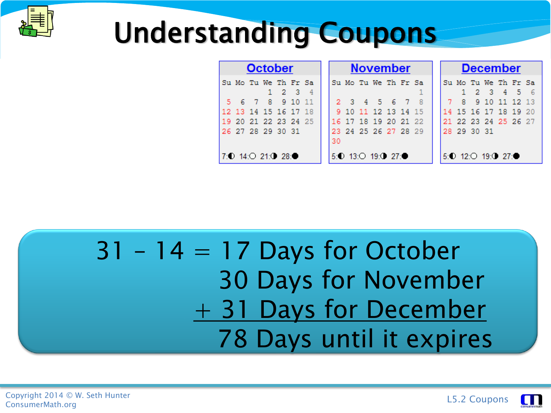

|                      |  | <b>October</b>    |  |    |  | <b>November</b>      |  |  |                      | <b>December</b> |  |  |
|----------------------|--|-------------------|--|----|--|----------------------|--|--|----------------------|-----------------|--|--|
| Su Mo Tu We Th Fr Sa |  | $1\quad 2\quad 3$ |  |    |  | Su Mo Tu We Th Fr Sa |  |  | Su Mo Tu We Th Fr Sa | 1 2 3 4 5 6     |  |  |
| 5 6 7 8 9 10         |  |                   |  |    |  | 2 3 4 5 6 7 8        |  |  | 7 8 9 10 11 12 13    |                 |  |  |
| 12 13 14 15 16 17 18 |  |                   |  |    |  | 9 10 11 12 13 14 15  |  |  | 14 15 16 17 18 19 20 |                 |  |  |
| 19 20 21 22 23 24 25 |  |                   |  |    |  | 16 17 18 19 20 21 22 |  |  | 21 22 23 24 25 26 27 |                 |  |  |
| 26 27 28 29 30 31    |  |                   |  |    |  | 23 24 25 26 27 28 29 |  |  | 28 29 30 31          |                 |  |  |
|                      |  |                   |  | 30 |  |                      |  |  |                      |                 |  |  |
| 7:0 14:0 21:0 28:0   |  |                   |  |    |  | $5:0$ 13:0 19:0 27:0 |  |  | $5:0$ 12:0 19:0 27:0 |                 |  |  |

#### $31 - 14 = 17$  Days for October expires 30. Days for November  $+$  31 Days for December **14. The Tays is October 14. In the 14. In the 14. In the 14. In the 14. In the 14. In the 14. In the 14. In the 14. In the 14. In the 14. In the 14. In the 14. In the 14. In the 14. In the 14. In the 14. In the 14. In the**

Copyright 2014 © W. Seth Hunter Copyright 2014 © W. Seth Hunter<br>ConsumerMath.org L5.2 Coupons

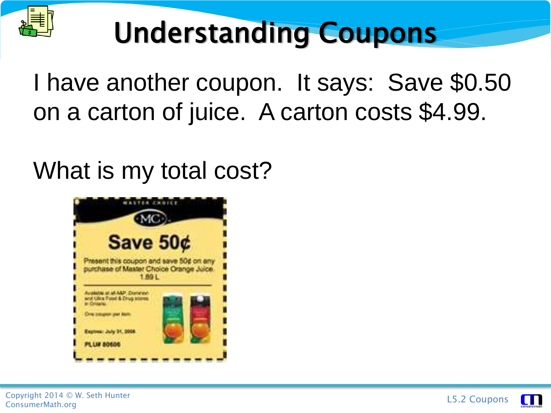

I have another coupon. It says: Save \$0.50 on a carton of juice. A carton costs \$4.99.

What is my total cost?



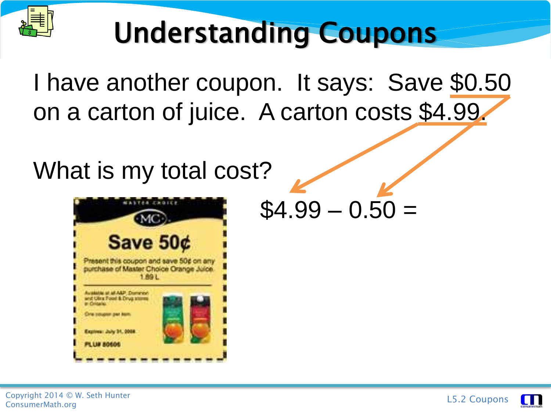

I have another coupon. It says: Save \$0.50 on a carton of juice. A carton costs \$4.99.

What is my total cost?



 $$4.99 - 0.50 =$ 



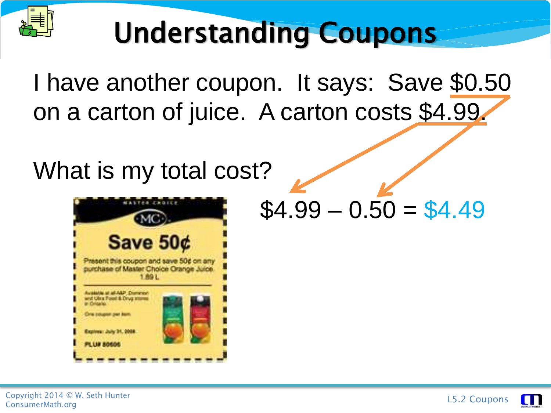

I have another coupon. It says: Save \$0.50 on a carton of juice. A carton costs \$4.99.

What is my total cost?



 $$4.99 - 0.50 = $4.49$ 



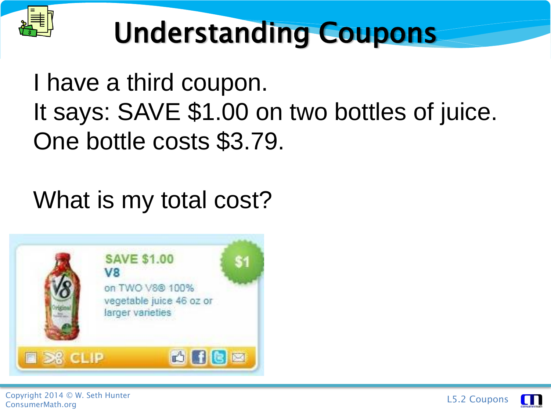

#### I have a third coupon. It says: SAVE \$1.00 on two bottles of juice. One bottle costs \$3.79.

#### What is my total cost?





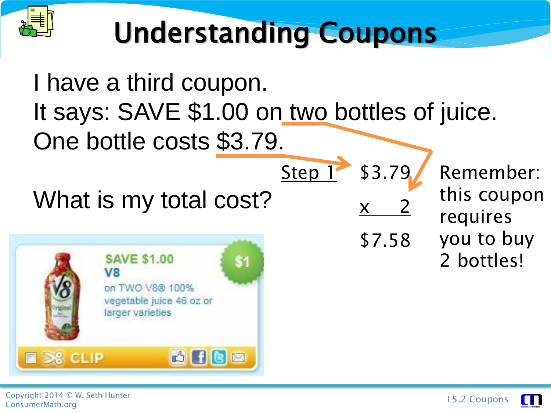

#### I have a third coupon. It says: SAVE \$1.00 on two bottles of juice. One bottle costs \$3.79. Step 1 \$3.79 Remember: this coupon What is my total cost?  $\mathsf{X}$ requires you to buy \$7.582 bottles! **SAVE \$1.00** \$1 V8 on TWO V8® 100% vegetable juice 46 oz or larger varieties 西门语画 **B** S& CLIP

Copyright 2014 © W. Seth Hunter Copyright 2014 © W. Seth Hunter<br>ConsumerMath.org L5.2 Coupons

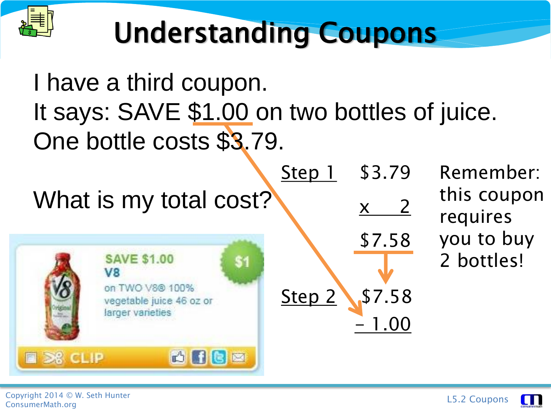

#### I have a third coupon. It says: SAVE \$1.00 on two bottles of juice. One bottle costs \$3.79.

Step 1 \$3.79 Remember: What is my total cost? $x \quad 2$ \$7.58 **SAVE \$1.00** \$1 V8 on TWO V8® 100% Step 2 \$7.58 vegetable juice 46 oz or larger varieties - 1.00 西门语画 **B** S& CLIP

this coupon requires you to buy 2 bottles!



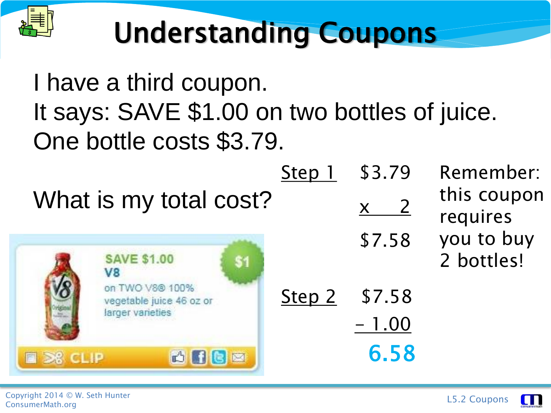

I have a third coupon. It says: SAVE \$1.00 on two bottles of juice. One bottle costs \$3.79.

|  |  |  |  |  | What is my total cost? |
|--|--|--|--|--|------------------------|
|--|--|--|--|--|------------------------|



| <b>JJ.</b> IJ             |              |
|---------------------------|--------------|
| $\boldsymbol{\mathsf{X}}$ | $\mathbf{Z}$ |
| \$7.58                    |              |

- 1.00

6.58

Step 1 \$3.79 Remember: this coupon requires you to buy 2 bottles!

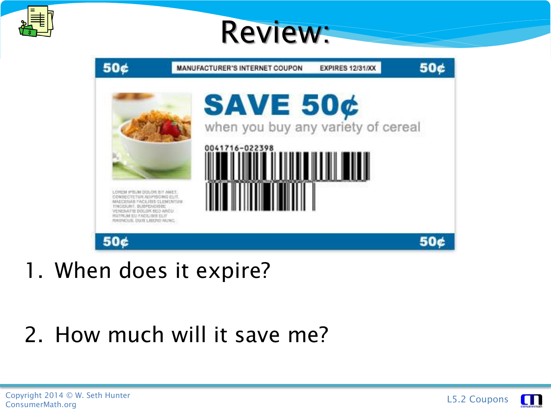

#### Review:



1. When does it expire?

#### 2. How much will it save me?